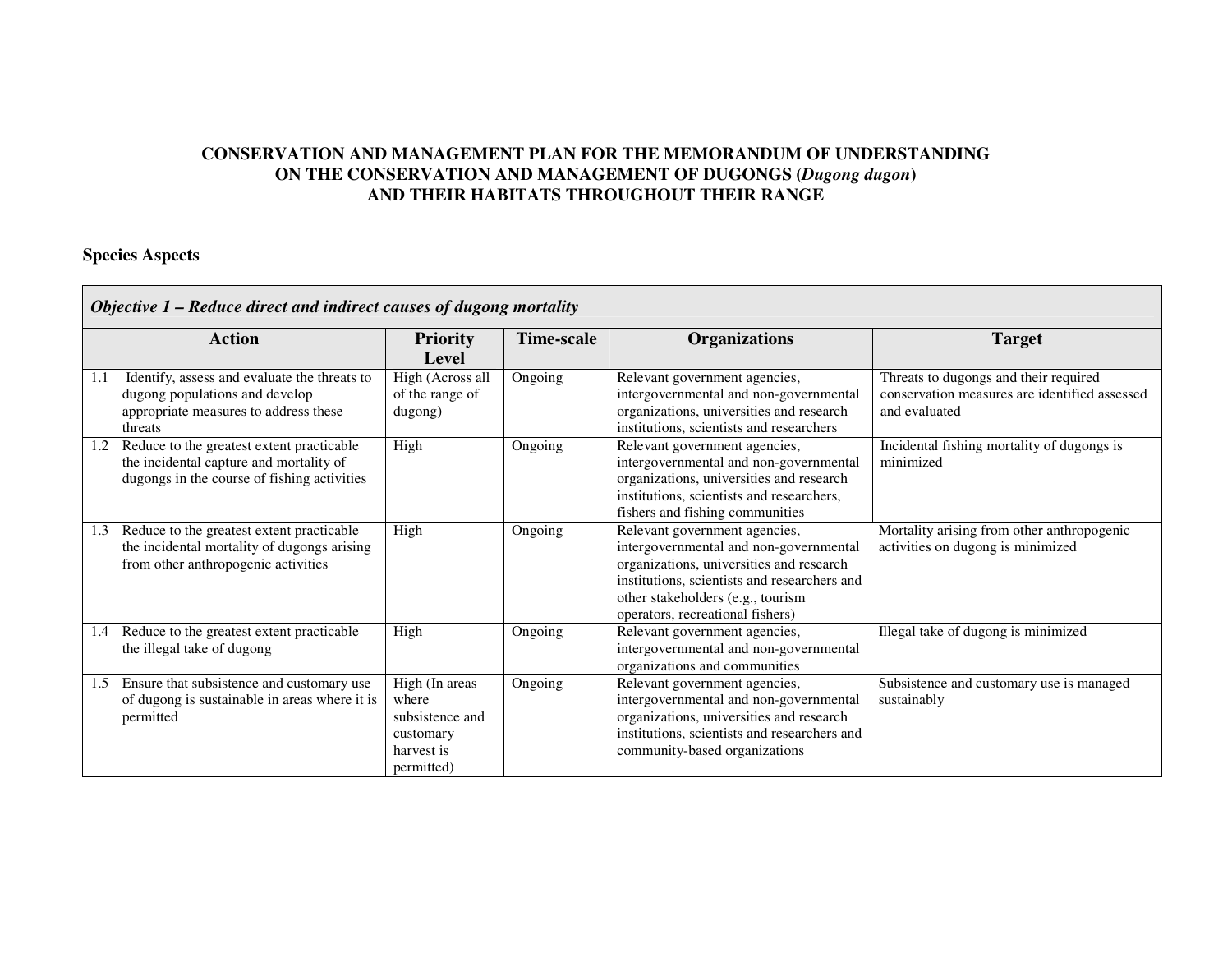# **CONSERVATION AND MANAGEMENT PLAN FOR THE MEMORANDUM OF UNDERSTANDING ON THE CONSERVATION AND MANAGEMENT OF DUGONGS (***Dugong dugon***) AND THEIR HABITATS THROUGHOUT THEIR RANGE**

### **Species Aspects**

|     | Objective 1 – Reduce direct and indirect causes of dugong mortality                                                                 |                                                                                     |            |                                                                                                                                                                                                                                              |                                                                                                         |  |  |
|-----|-------------------------------------------------------------------------------------------------------------------------------------|-------------------------------------------------------------------------------------|------------|----------------------------------------------------------------------------------------------------------------------------------------------------------------------------------------------------------------------------------------------|---------------------------------------------------------------------------------------------------------|--|--|
|     | <b>Action</b>                                                                                                                       | <b>Priority</b><br><b>Level</b>                                                     | Time-scale | <b>Organizations</b>                                                                                                                                                                                                                         | <b>Target</b>                                                                                           |  |  |
| 1.1 | Identify, assess and evaluate the threats to<br>dugong populations and develop<br>appropriate measures to address these<br>threats  | High (Across all<br>of the range of<br>dugong)                                      | Ongoing    | Relevant government agencies,<br>intergovernmental and non-governmental<br>organizations, universities and research<br>institutions, scientists and researchers                                                                              | Threats to dugongs and their required<br>conservation measures are identified assessed<br>and evaluated |  |  |
| 1.2 | Reduce to the greatest extent practicable<br>the incidental capture and mortality of<br>dugongs in the course of fishing activities | High                                                                                | Ongoing    | Relevant government agencies,<br>intergovernmental and non-governmental<br>organizations, universities and research<br>institutions, scientists and researchers,<br>fishers and fishing communities                                          | Incidental fishing mortality of dugongs is<br>minimized                                                 |  |  |
| 1.3 | Reduce to the greatest extent practicable<br>the incidental mortality of dugongs arising<br>from other anthropogenic activities     | High                                                                                | Ongoing    | Relevant government agencies,<br>intergovernmental and non-governmental<br>organizations, universities and research<br>institutions, scientists and researchers and<br>other stakeholders (e.g., tourism<br>operators, recreational fishers) | Mortality arising from other anthropogenic<br>activities on dugong is minimized                         |  |  |
| 1.4 | Reduce to the greatest extent practicable<br>the illegal take of dugong                                                             | High                                                                                | Ongoing    | Relevant government agencies,<br>intergovernmental and non-governmental<br>organizations and communities                                                                                                                                     | Illegal take of dugong is minimized                                                                     |  |  |
| 1.5 | Ensure that subsistence and customary use<br>of dugong is sustainable in areas where it is<br>permitted                             | High (In areas<br>where<br>subsistence and<br>customary<br>harvest is<br>permitted) | Ongoing    | Relevant government agencies,<br>intergovernmental and non-governmental<br>organizations, universities and research<br>institutions, scientists and researchers and<br>community-based organizations                                         | Subsistence and customary use is managed<br>sustainably                                                 |  |  |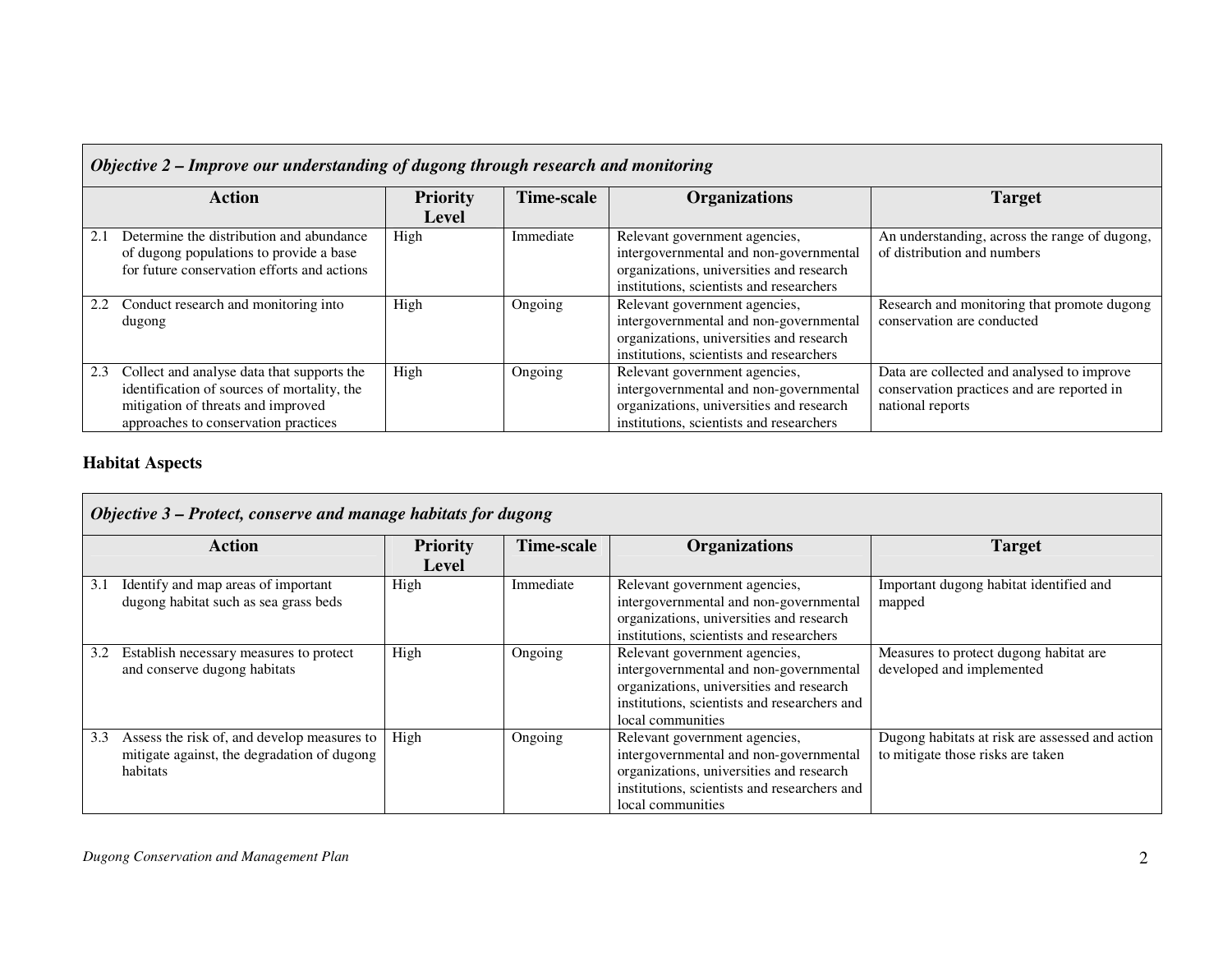|     | Objective 2 – Improve our understanding of dugong through research and monitoring |                 |            |                                          |                                               |  |  |
|-----|-----------------------------------------------------------------------------------|-----------------|------------|------------------------------------------|-----------------------------------------------|--|--|
|     | <b>Action</b>                                                                     | <b>Priority</b> | Time-scale | <b>Organizations</b>                     | <b>Target</b>                                 |  |  |
|     |                                                                                   | Level           |            |                                          |                                               |  |  |
|     | Determine the distribution and abundance                                          | High            | Immediate  | Relevant government agencies,            | An understanding, across the range of dugong, |  |  |
|     | of dugong populations to provide a base                                           |                 |            | intergovernmental and non-governmental   | of distribution and numbers                   |  |  |
|     | for future conservation efforts and actions                                       |                 |            | organizations, universities and research |                                               |  |  |
|     |                                                                                   |                 |            | institutions, scientists and researchers |                                               |  |  |
| 2.2 | Conduct research and monitoring into                                              | High            | Ongoing    | Relevant government agencies,            | Research and monitoring that promote dugong   |  |  |
|     | dugong                                                                            |                 |            | intergovernmental and non-governmental   | conservation are conducted                    |  |  |
|     |                                                                                   |                 |            | organizations, universities and research |                                               |  |  |
|     |                                                                                   |                 |            | institutions, scientists and researchers |                                               |  |  |
| 2.3 | Collect and analyse data that supports the                                        | High            | Ongoing    | Relevant government agencies,            | Data are collected and analysed to improve    |  |  |
|     | identification of sources of mortality, the                                       |                 |            | intergovernmental and non-governmental   | conservation practices and are reported in    |  |  |
|     | mitigation of threats and improved                                                |                 |            | organizations, universities and research | national reports                              |  |  |
|     | approaches to conservation practices                                              |                 |            | institutions, scientists and researchers |                                               |  |  |

# **Habitat Aspects**

|     | Objective 3 – Protect, conserve and manage habitats for dugong                                         |                          |                   |                                                                                                                                                                                          |                                                                                      |  |  |
|-----|--------------------------------------------------------------------------------------------------------|--------------------------|-------------------|------------------------------------------------------------------------------------------------------------------------------------------------------------------------------------------|--------------------------------------------------------------------------------------|--|--|
|     | <b>Action</b>                                                                                          | <b>Priority</b><br>Level | <b>Time-scale</b> | <b>Organizations</b>                                                                                                                                                                     | <b>Target</b>                                                                        |  |  |
| 3.1 | Identify and map areas of important<br>dugong habitat such as sea grass beds                           | High                     | Immediate         | Relevant government agencies,<br>intergovernmental and non-governmental<br>organizations, universities and research<br>institutions, scientists and researchers                          | Important dugong habitat identified and<br>mapped                                    |  |  |
| 3.2 | Establish necessary measures to protect<br>and conserve dugong habitats                                | High                     | Ongoing           | Relevant government agencies,<br>intergovernmental and non-governmental<br>organizations, universities and research<br>institutions, scientists and researchers and<br>local communities | Measures to protect dugong habitat are<br>developed and implemented                  |  |  |
| 3.3 | Assess the risk of, and develop measures to<br>mitigate against, the degradation of dugong<br>habitats | High                     | Ongoing           | Relevant government agencies,<br>intergovernmental and non-governmental<br>organizations, universities and research<br>institutions, scientists and researchers and<br>local communities | Dugong habitats at risk are assessed and action<br>to mitigate those risks are taken |  |  |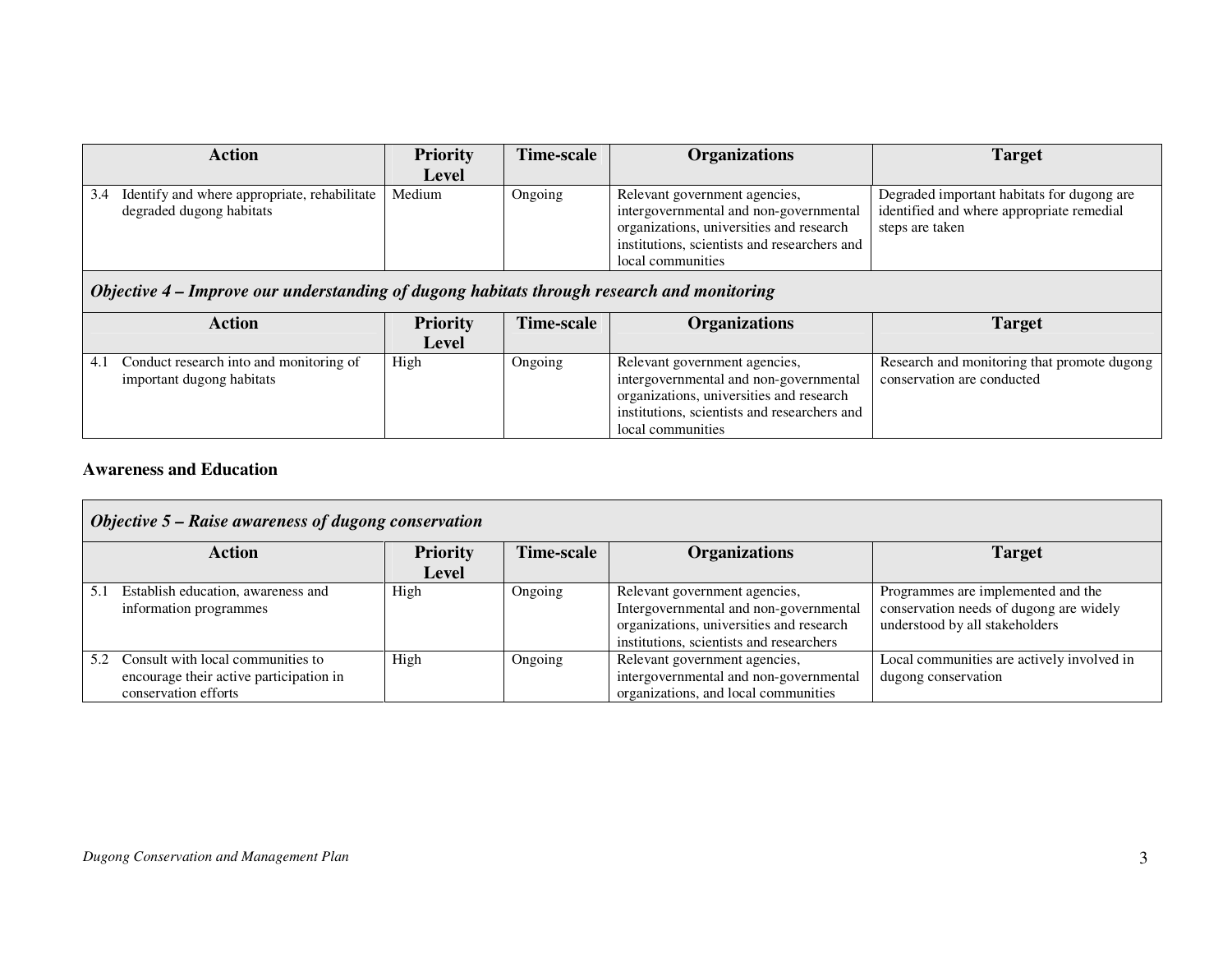| <b>Priority</b>                                                                            | Time-scale | <b>Organizations</b>                                                                                                                                                                     | <b>Target</b>                                                                                                                                         |  |  |  |
|--------------------------------------------------------------------------------------------|------------|------------------------------------------------------------------------------------------------------------------------------------------------------------------------------------------|-------------------------------------------------------------------------------------------------------------------------------------------------------|--|--|--|
| Level                                                                                      |            |                                                                                                                                                                                          |                                                                                                                                                       |  |  |  |
| Medium                                                                                     | Ongoing    | Relevant government agencies,<br>intergovernmental and non-governmental<br>organizations, universities and research<br>institutions, scientists and researchers and<br>local communities | Degraded important habitats for dugong are<br>identified and where appropriate remedial<br>steps are taken                                            |  |  |  |
| Objective 4 – Improve our understanding of dugong habitats through research and monitoring |            |                                                                                                                                                                                          |                                                                                                                                                       |  |  |  |
| <b>Priority</b>                                                                            | Time-scale | <b>Organizations</b>                                                                                                                                                                     | <b>Target</b>                                                                                                                                         |  |  |  |
| Level                                                                                      |            |                                                                                                                                                                                          | the contract of the contract of the contract of the contract of the contract of the contract of the contract of<br>$\sim$ $\sim$ $\sim$ $\sim$ $\sim$ |  |  |  |
|                                                                                            | .          |                                                                                                                                                                                          |                                                                                                                                                       |  |  |  |

|                                                                      | Level |                |                                                                                                                                                                     |                                                                           |
|----------------------------------------------------------------------|-------|----------------|---------------------------------------------------------------------------------------------------------------------------------------------------------------------|---------------------------------------------------------------------------|
| Conduct research into and monitoring of<br>important dugong habitats | High  | <b>Ongoing</b> | Relevant government agencies,<br>intergovernmental and non-governmental<br>organizations, universities and research<br>institutions, scientists and researchers and | Research and monitoring that promote dugong<br>conservation are conducted |
|                                                                      |       |                | local communities                                                                                                                                                   |                                                                           |

# **Awareness and Education**

|     | Objective 5 – Raise awareness of dugong conservation                                                 |                 |            |                                                                                                                                                                 |                                                                                                                 |  |  |
|-----|------------------------------------------------------------------------------------------------------|-----------------|------------|-----------------------------------------------------------------------------------------------------------------------------------------------------------------|-----------------------------------------------------------------------------------------------------------------|--|--|
|     | <b>Action</b>                                                                                        | <b>Priority</b> | Time-scale | <b>Organizations</b>                                                                                                                                            | <b>Target</b>                                                                                                   |  |  |
|     |                                                                                                      | Level           |            |                                                                                                                                                                 |                                                                                                                 |  |  |
| 5.1 | Establish education, awareness and<br>information programmes                                         | High            | Ongoing    | Relevant government agencies,<br>Intergovernmental and non-governmental<br>organizations, universities and research<br>institutions, scientists and researchers | Programmes are implemented and the<br>conservation needs of dugong are widely<br>understood by all stakeholders |  |  |
| 5.2 | Consult with local communities to<br>encourage their active participation in<br>conservation efforts | High            | Ongoing    | Relevant government agencies,<br>intergovernmental and non-governmental<br>organizations, and local communities                                                 | Local communities are actively involved in<br>dugong conservation                                               |  |  |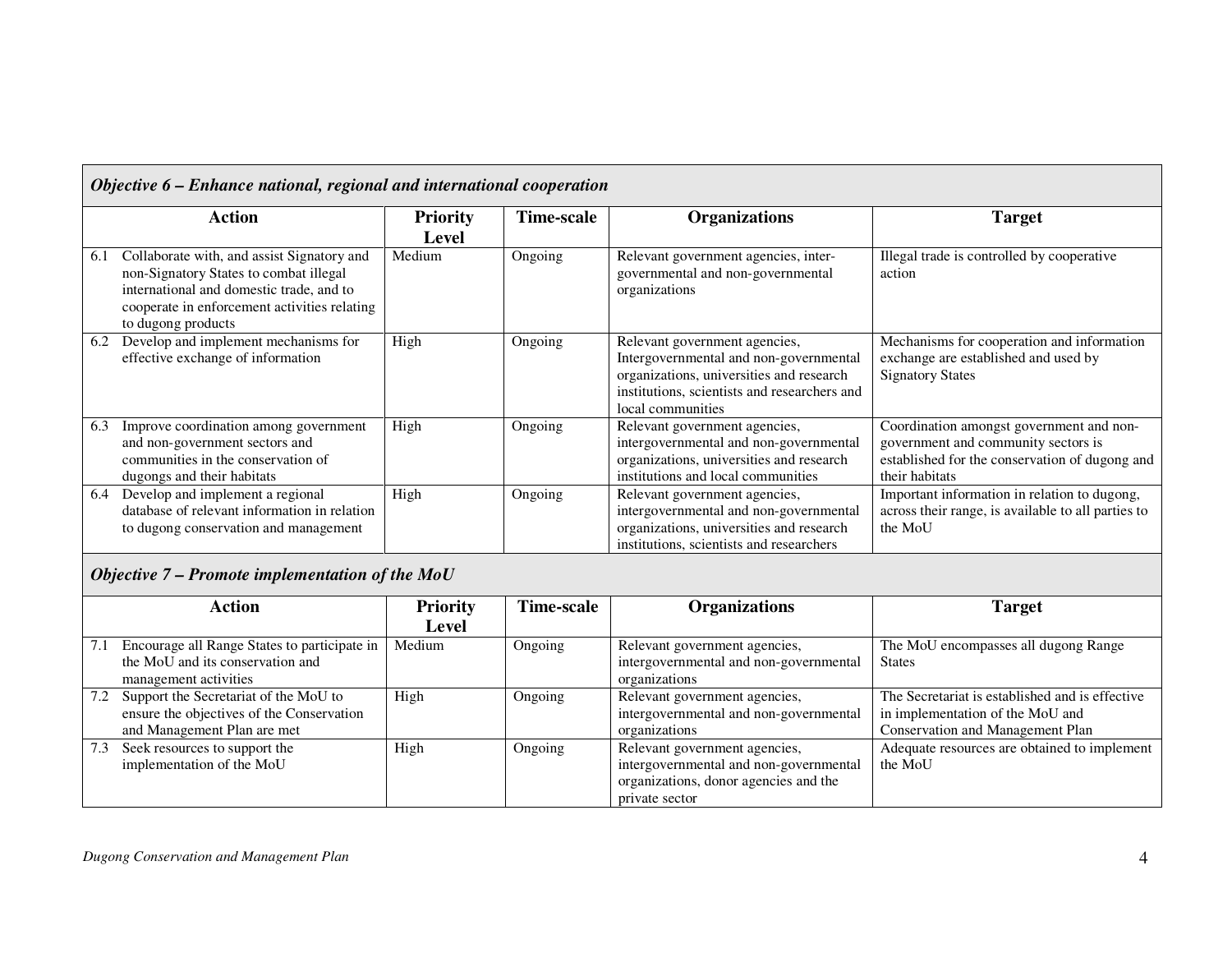|     | Objective 6 – Enhance national, regional and international cooperation                                                                                                                                 |                          |            |                                                                                                                                                                                          |                                                                                                                                                     |  |  |
|-----|--------------------------------------------------------------------------------------------------------------------------------------------------------------------------------------------------------|--------------------------|------------|------------------------------------------------------------------------------------------------------------------------------------------------------------------------------------------|-----------------------------------------------------------------------------------------------------------------------------------------------------|--|--|
|     | <b>Action</b>                                                                                                                                                                                          | <b>Priority</b><br>Level | Time-scale | <b>Organizations</b>                                                                                                                                                                     | <b>Target</b>                                                                                                                                       |  |  |
| 6.1 | Collaborate with, and assist Signatory and<br>non-Signatory States to combat illegal<br>international and domestic trade, and to<br>cooperate in enforcement activities relating<br>to dugong products | Medium                   | Ongoing    | Relevant government agencies, inter-<br>governmental and non-governmental<br>organizations                                                                                               | Illegal trade is controlled by cooperative<br>action                                                                                                |  |  |
| 6.2 | Develop and implement mechanisms for<br>effective exchange of information                                                                                                                              | High                     | Ongoing    | Relevant government agencies,<br>Intergovernmental and non-governmental<br>organizations, universities and research<br>institutions, scientists and researchers and<br>local communities | Mechanisms for cooperation and information<br>exchange are established and used by<br><b>Signatory States</b>                                       |  |  |
| 6.3 | Improve coordination among government<br>and non-government sectors and<br>communities in the conservation of<br>dugongs and their habitats                                                            | High                     | Ongoing    | Relevant government agencies,<br>intergovernmental and non-governmental<br>organizations, universities and research<br>institutions and local communities                                | Coordination amongst government and non-<br>government and community sectors is<br>established for the conservation of dugong and<br>their habitats |  |  |
| 6.4 | Develop and implement a regional<br>database of relevant information in relation<br>to dugong conservation and management                                                                              | High                     | Ongoing    | Relevant government agencies,<br>intergovernmental and non-governmental<br>organizations, universities and research<br>institutions, scientists and researchers                          | Important information in relation to dugong,<br>across their range, is available to all parties to<br>the MoU                                       |  |  |

# *Objective 7 – Promote implementation of the MoU*

|     | <b>Action</b>                                | <b>Priority</b> | <b>Time-scale</b> | <b>Organizations</b>                   | <b>Target</b>                                   |
|-----|----------------------------------------------|-----------------|-------------------|----------------------------------------|-------------------------------------------------|
|     |                                              | Level           |                   |                                        |                                                 |
| 7.1 | Encourage all Range States to participate in | Medium          | Ongoing           | Relevant government agencies,          | The MoU encompasses all dugong Range            |
|     | the MoU and its conservation and             |                 |                   | intergovernmental and non-governmental | <b>States</b>                                   |
|     | management activities                        |                 |                   | organizations                          |                                                 |
| 7.2 | Support the Secretariat of the MoU to        | High            | Ongoing           | Relevant government agencies,          | The Secretariat is established and is effective |
|     | ensure the objectives of the Conservation    |                 |                   | intergovernmental and non-governmental | in implementation of the MoU and                |
|     | and Management Plan are met                  |                 |                   | organizations                          | <b>Conservation and Management Plan</b>         |
| 7.3 | Seek resources to support the                | High            | Ongoing           | Relevant government agencies,          | Adequate resources are obtained to implement    |
|     | implementation of the MoU                    |                 |                   | intergovernmental and non-governmental | the MoU                                         |
|     |                                              |                 |                   | organizations, donor agencies and the  |                                                 |
|     |                                              |                 |                   | private sector                         |                                                 |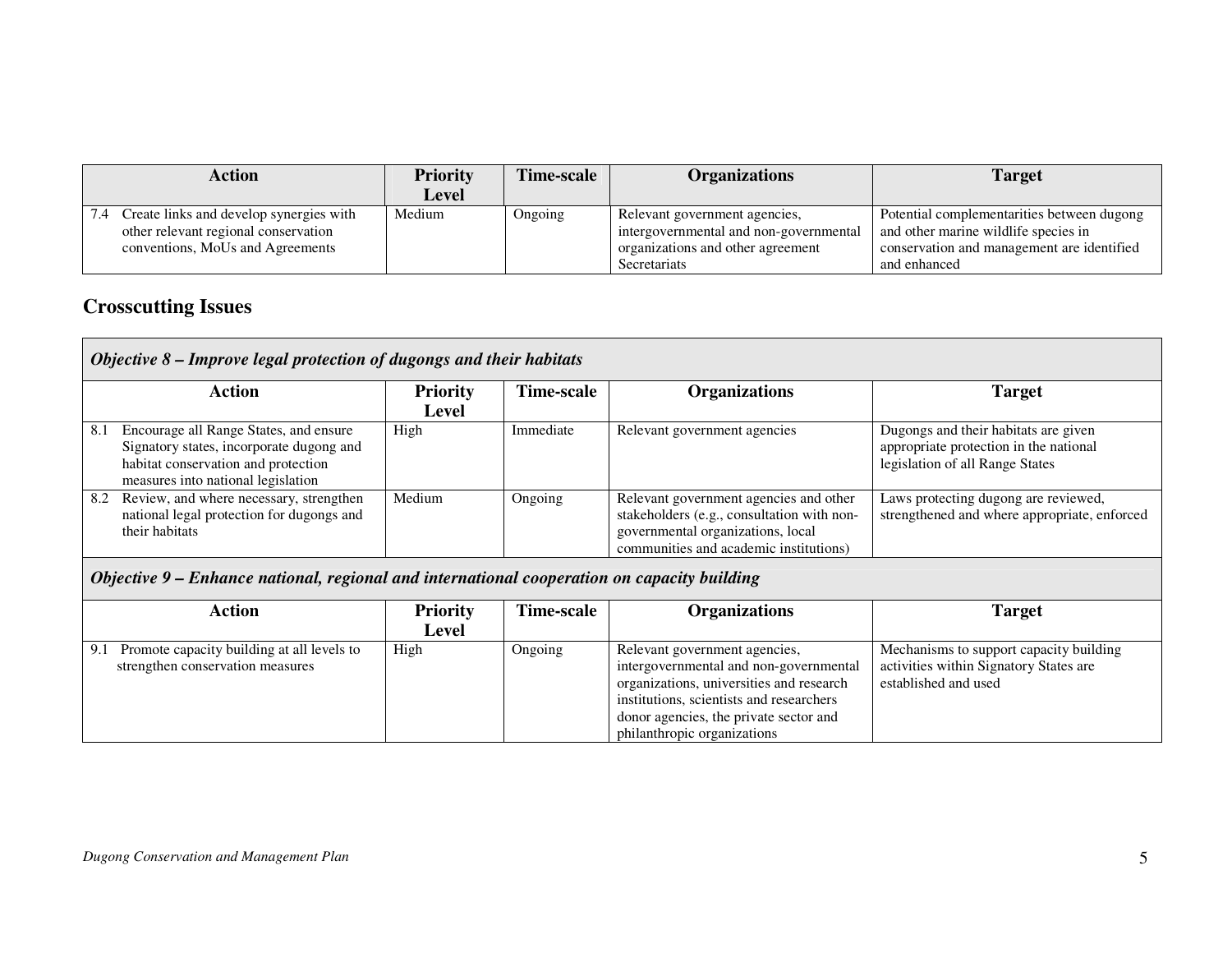| <b>Priority</b> | Time-scale | <b>Organizations</b>                                                                                         | <b>Target</b>                                                                                                                                    |
|-----------------|------------|--------------------------------------------------------------------------------------------------------------|--------------------------------------------------------------------------------------------------------------------------------------------------|
| Level           |            |                                                                                                              |                                                                                                                                                  |
| Medium          | Ongoing    | Relevant government agencies,<br>intergovernmental and non-governmental<br>organizations and other agreement | Potential complementarities between dugong<br>and other marine wildlife species in<br>conservation and management are identified<br>and enhanced |
|                 |            |                                                                                                              | Secretariats                                                                                                                                     |

# **Crosscutting Issues**

|     | <b>Action</b>                                                                                                                                                   | <b>Priority</b> | Time-scale | <b>Organizations</b>                                                                                                                                                | <b>Target</b>                                                                                                     |
|-----|-----------------------------------------------------------------------------------------------------------------------------------------------------------------|-----------------|------------|---------------------------------------------------------------------------------------------------------------------------------------------------------------------|-------------------------------------------------------------------------------------------------------------------|
|     |                                                                                                                                                                 | Level           |            |                                                                                                                                                                     |                                                                                                                   |
| 8.1 | Encourage all Range States, and ensure<br>Signatory states, incorporate dugong and<br>habitat conservation and protection<br>measures into national legislation | High            | Immediate  | Relevant government agencies                                                                                                                                        | Dugongs and their habitats are given<br>appropriate protection in the national<br>legislation of all Range States |
| 8.2 | Review, and where necessary, strengthen<br>national legal protection for dugongs and<br>their habitats                                                          | Medium          | Ongoing    | Relevant government agencies and other<br>stakeholders (e.g., consultation with non-<br>governmental organizations, local<br>communities and academic institutions) | Laws protecting dugong are reviewed,<br>strengthened and where appropriate, enforced                              |

## *Objective 9 – Enhance national, regional and international cooperation on capacity building*

| Action                                                                                | <b>Priority</b> | <b>Fime-scale</b> | Organizations                                                                                                                                                                                                                            | Target                                                                                                    |
|---------------------------------------------------------------------------------------|-----------------|-------------------|------------------------------------------------------------------------------------------------------------------------------------------------------------------------------------------------------------------------------------------|-----------------------------------------------------------------------------------------------------------|
|                                                                                       | Level           |                   |                                                                                                                                                                                                                                          |                                                                                                           |
| Promote capacity building at all levels to<br>9.1<br>strengthen conservation measures | High            | Ongoing           | Relevant government agencies,<br>intergovernmental and non-governmental<br>organizations, universities and research<br>institutions, scientists and researchers<br>donor agencies, the private sector and<br>philanthropic organizations | Mechanisms to support capacity building<br>activities within Signatory States are<br>established and used |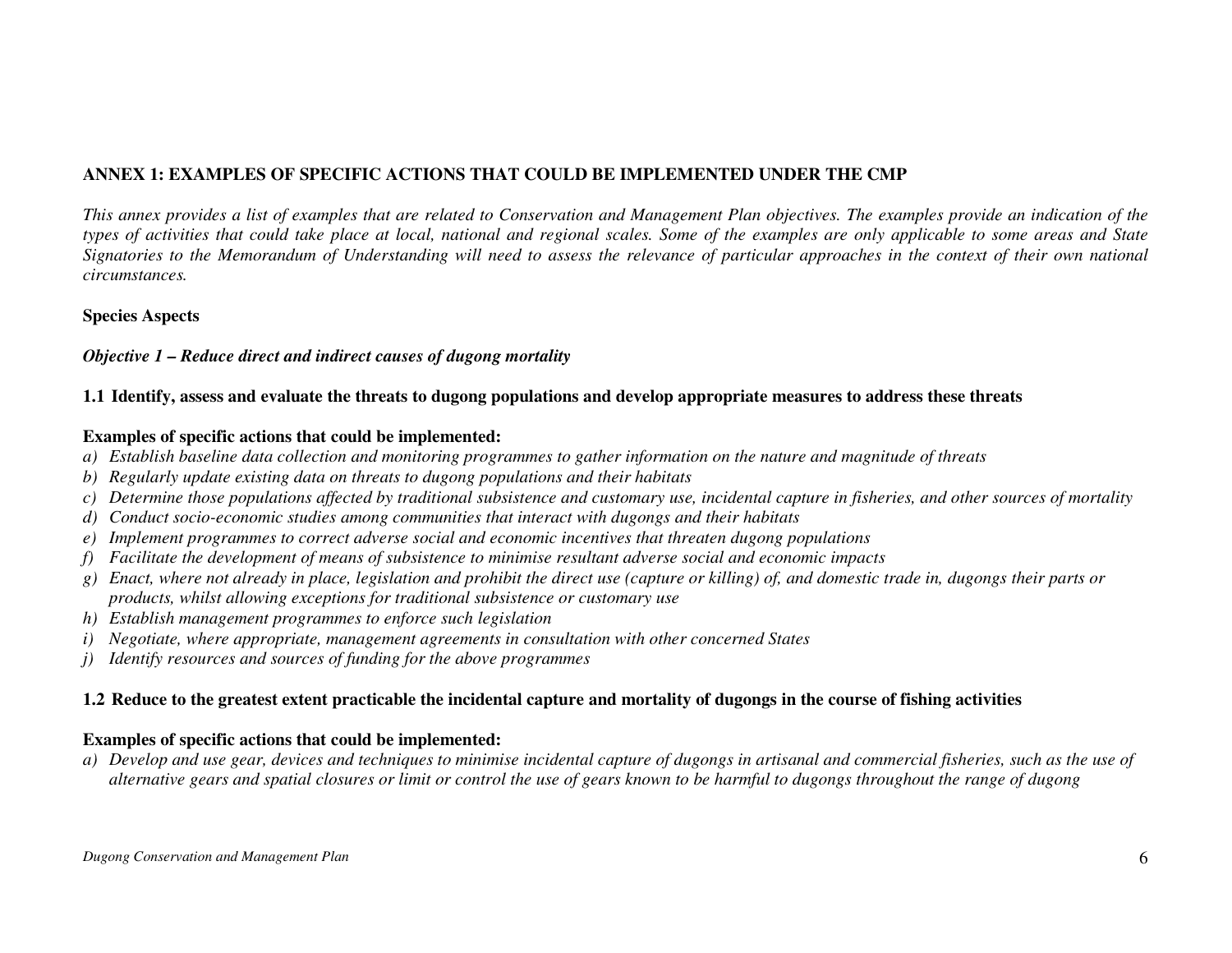# **ANNEX 1: EXAMPLES OF SPECIFIC ACTIONS THAT COULD BE IMPLEMENTED UNDER THE CMP**

*This annex provides a list of examples that are related to Conservation and Management Plan objectives. The examples provide an indication of the types of activities that could take place at local, national and regional scales. Some of the examples are only applicable to some areas and State Signatories to the Memorandum of Understanding will need to assess the relevance of particular approaches in the context of their own national circumstances.* 

#### **Species Aspects**

#### *Objective 1 – Reduce direct and indirect causes of dugong mortality*

# **1.1 Identify, assess and evaluate the threats to dugong populations and develop appropriate measures to address these threats**

#### **Examples of specific actions that could be implemented:**

- *a) Establish baseline data collection and monitoring programmes to gather information on the nature and magnitude of threats*
- *b) Regularly update existing data on threats to dugong populations and their habitats*
- *c) Determine those populations affected by traditional subsistence and customary use, incidental capture in fisheries, and other sources of mortality*
- *d) Conduct socio-economic studies among communities that interact with dugongs and their habitats*
- *e) Implement programmes to correct adverse social and economic incentives that threaten dugong populations*
- *f) Facilitate the development of means of subsistence to minimise resultant adverse social and economic impacts*
- *g) Enact, where not already in place, legislation and prohibit the direct use (capture or killing) of, and domestic trade in, dugongs their parts or products, whilst allowing exceptions for traditional subsistence or customary use*
- *h) Establish management programmes to enforce such legislation*
- *i) Negotiate, where appropriate, management agreements in consultation with other concerned States*
- *j) Identify resources and sources of funding for the above programmes*

# **1.2 Reduce to the greatest extent practicable the incidental capture and mortality of dugongs in the course of fishing activities**

#### **Examples of specific actions that could be implemented:**

 *a) Develop and use gear, devices and techniques to minimise incidental capture of dugongs in artisanal and commercial fisheries, such as the use of alternative gears and spatial closures or limit or control the use of gears known to be harmful to dugongs throughout the range of dugong*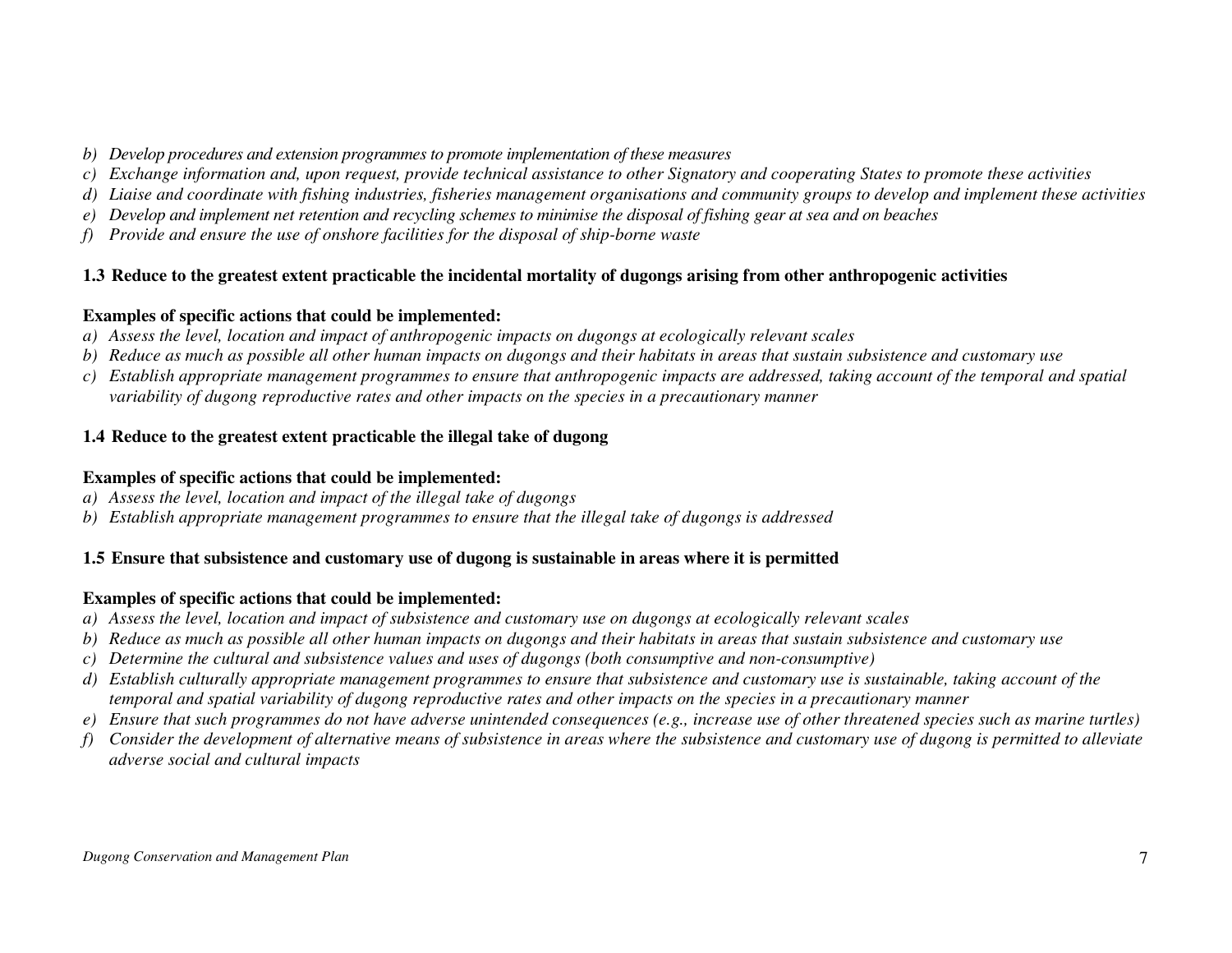- *b) Develop procedures and extension programmes to promote implementation of these measures*
- *c) Exchange information and, upon request, provide technical assistance to other Signatory and cooperating States to promote these activities*
- *d) Liaise and coordinate with fishing industries, fisheries management organisations and community groups to develop and implement these activities*
- *e) Develop and implement net retention and recycling schemes to minimise the disposal of fishing gear at sea and on beaches*
- *f) Provide and ensure the use of onshore facilities for the disposal of ship-borne waste*

# **1.3 Reduce to the greatest extent practicable the incidental mortality of dugongs arising from other anthropogenic activities**

#### **Examples of specific actions that could be implemented:**

- *a) Assess the level, location and impact of anthropogenic impacts on dugongs at ecologically relevant scales*
- *b) Reduce as much as possible all other human impacts on dugongs and their habitats in areas that sustain subsistence and customary use*
- *c) Establish appropriate management programmes to ensure that anthropogenic impacts are addressed, taking account of the temporal and spatial variability of dugong reproductive rates and other impacts on the species in a precautionary manner*

# **1.4 Reduce to the greatest extent practicable the illegal take of dugong**

#### **Examples of specific actions that could be implemented:**

- *a) Assess the level, location and impact of the illegal take of dugongs*
- *b) Establish appropriate management programmes to ensure that the illegal take of dugongs is addressed*

# **1.5 Ensure that subsistence and customary use of dugong is sustainable in areas where it is permitted**

- *a) Assess the level, location and impact of subsistence and customary use on dugongs at ecologically relevant scales*
- *b) Reduce as much as possible all other human impacts on dugongs and their habitats in areas that sustain subsistence and customary use*
- *c) Determine the cultural and subsistence values and uses of dugongs (both consumptive and non-consumptive)*
- *d) Establish culturally appropriate management programmes to ensure that subsistence and customary use is sustainable, taking account of the temporal and spatial variability of dugong reproductive rates and other impacts on the species in a precautionary manner*
- *e) Ensure that such programmes do not have adverse unintended consequences (e.g., increase use of other threatened species such as marine turtles)*
- *f) Consider the development of alternative means of subsistence in areas where the subsistence and customary use of dugong is permitted to alleviate adverse social and cultural impacts*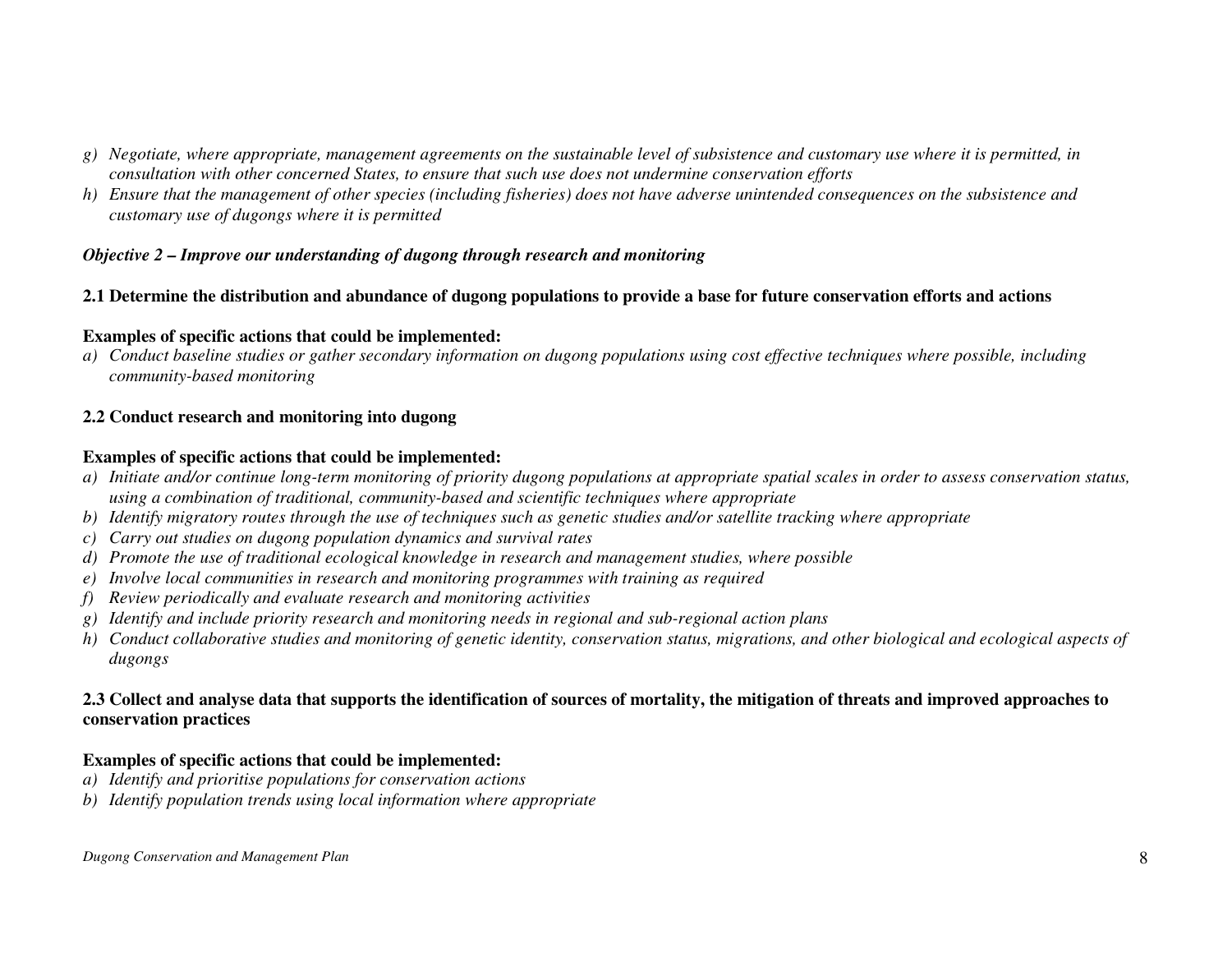- *g) Negotiate, where appropriate, management agreements on the sustainable level of subsistence and customary use where it is permitted, in consultation with other concerned States, to ensure that such use does not undermine conservation efforts*
- *h) Ensure that the management of other species (including fisheries) does not have adverse unintended consequences on the subsistence and customary use of dugongs where it is permitted*

### *Objective 2 – Improve our understanding of dugong through research and monitoring*

### **2.1 Determine the distribution and abundance of dugong populations to provide a base for future conservation efforts and actions**

#### **Examples of specific actions that could be implemented:**

 *a) Conduct baseline studies or gather secondary information on dugong populations using cost effective techniques where possible, including community-based monitoring* 

## **2.2 Conduct research and monitoring into dugong**

#### **Examples of specific actions that could be implemented:**

- *a) Initiate and/or continue long-term monitoring of priority dugong populations at appropriate spatial scales in order to assess conservation status, using a combination of traditional, community-based and scientific techniques where appropriate*
- *b) Identify migratory routes through the use of techniques such as genetic studies and/or satellite tracking where appropriate*
- *c) Carry out studies on dugong population dynamics and survival rates*
- *d) Promote the use of traditional ecological knowledge in research and management studies, where possible*
- *e) Involve local communities in research and monitoring programmes with training as required*
- *f) Review periodically and evaluate research and monitoring activities*
- *g) Identify and include priority research and monitoring needs in regional and sub-regional action plans*
- *h) Conduct collaborative studies and monitoring of genetic identity, conservation status, migrations, and other biological and ecological aspects of dugongs*

## **2.3 Collect and analyse data that supports the identification of sources of mortality, the mitigation of threats and improved approaches to conservation practices**

- *a) Identify and prioritise populations for conservation actions*
- *b) Identify population trends using local information where appropriate*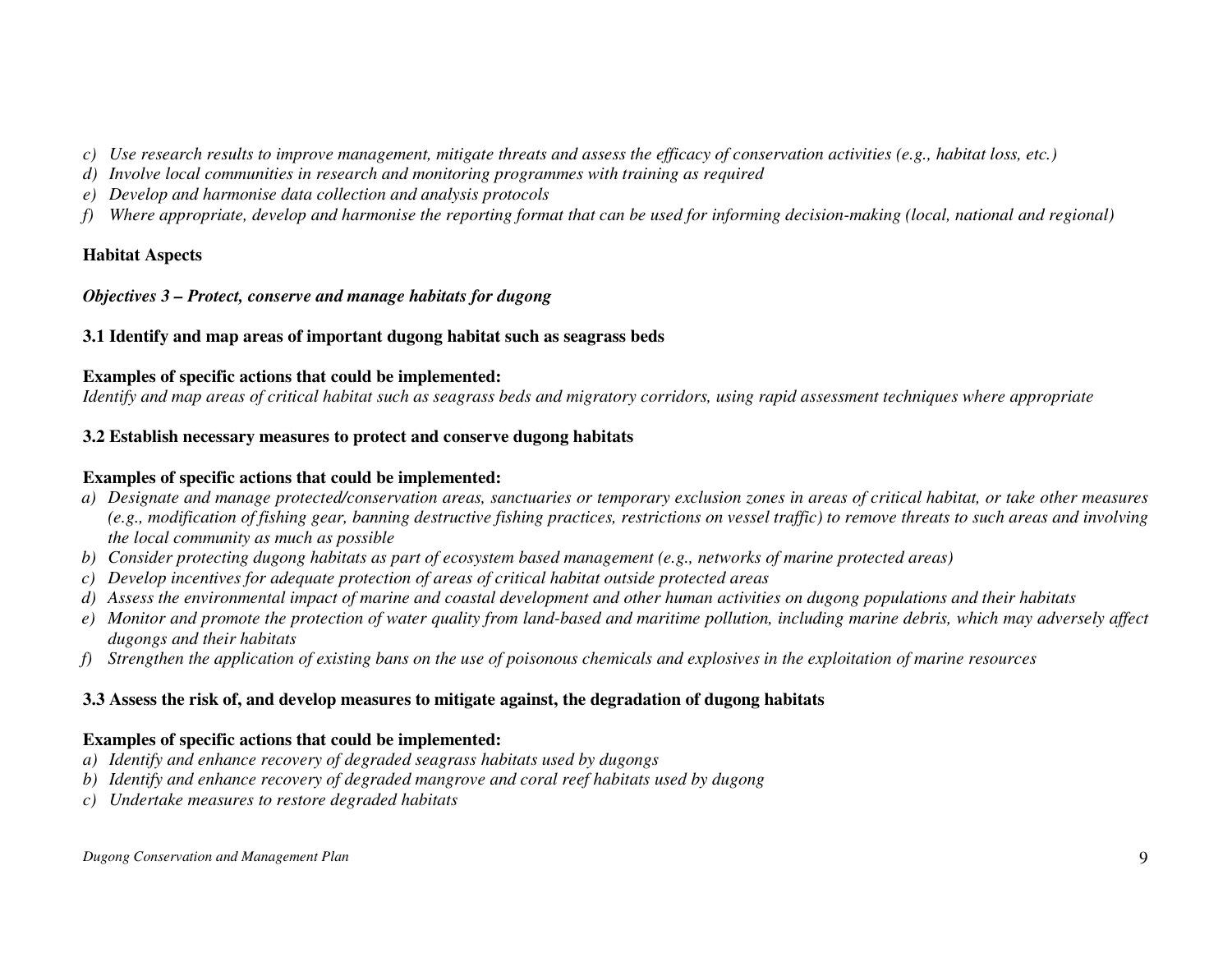- *c) Use research results to improve management, mitigate threats and assess the efficacy of conservation activities (e.g., habitat loss, etc.)*
- *d) Involve local communities in research and monitoring programmes with training as required*
- *e) Develop and harmonise data collection and analysis protocols*
- *f) Where appropriate, develop and harmonise the reporting format that can be used for informing decision-making (local, national and regional)*

# **Habitat Aspects**

## *Objectives 3 – Protect, conserve and manage habitats for dugong*

# **3.1 Identify and map areas of important dugong habitat such as seagrass beds**

## **Examples of specific actions that could be implemented:**

*Identify and map areas of critical habitat such as seagrass beds and migratory corridors, using rapid assessment techniques where appropriate* 

# **3.2 Establish necessary measures to protect and conserve dugong habitats**

# **Examples of specific actions that could be implemented:**

- *a) Designate and manage protected/conservation areas, sanctuaries or temporary exclusion zones in areas of critical habitat, or take other measures (e.g., modification of fishing gear, banning destructive fishing practices, restrictions on vessel traffic) to remove threats to such areas and involvingthe local community as much as possible*
- *b) Consider protecting dugong habitats as part of ecosystem based management (e.g., networks of marine protected areas)*
- *c) Develop incentives for adequate protection of areas of critical habitat outside protected areas*
- *d) Assess the environmental impact of marine and coastal development and other human activities on dugong populations and their habitats*
- *e) Monitor and promote the protection of water quality from land-based and maritime pollution, including marine debris, which may adversely affect dugongs and their habitats*
- *f) Strengthen the application of existing bans on the use of poisonous chemicals and explosives in the exploitation of marine resources*

# **3.3 Assess the risk of, and develop measures to mitigate against, the degradation of dugong habitats**

- *a) Identify and enhance recovery of degraded seagrass habitats used by dugongs*
- *b) Identify and enhance recovery of degraded mangrove and coral reef habitats used by dugong*
- *c) Undertake measures to restore degraded habitats*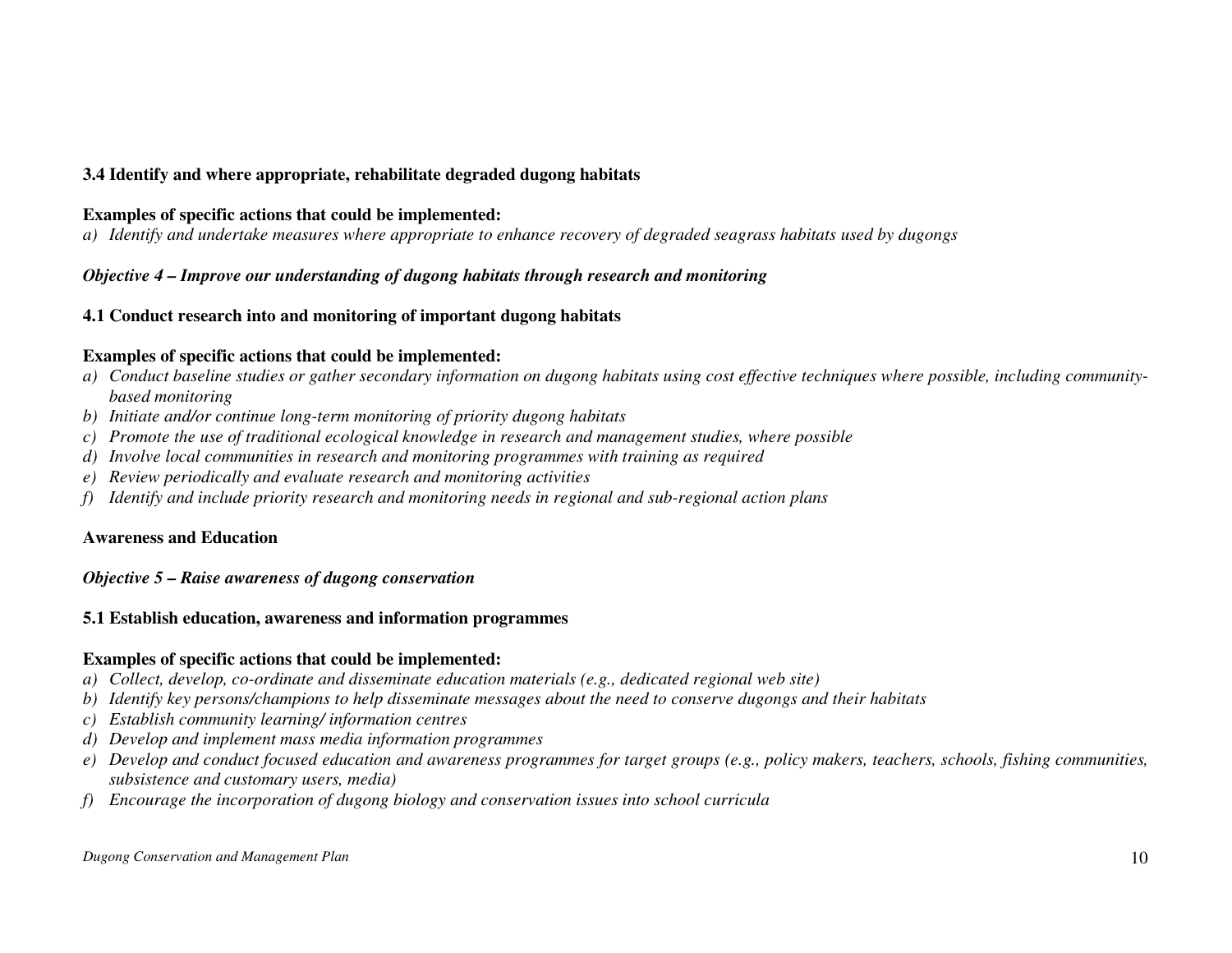# **3.4 Identify and where appropriate, rehabilitate degraded dugong habitats**

#### **Examples of specific actions that could be implemented:**

*a) Identify and undertake measures where appropriate to enhance recovery of degraded seagrass habitats used by dugongs* 

## *Objective 4 – Improve our understanding of dugong habitats through research and monitoring*

### **4.1 Conduct research into and monitoring of important dugong habitats**

#### **Examples of specific actions that could be implemented:**

- *a) Conduct baseline studies or gather secondary information on dugong habitats using cost effective techniques where possible, including communitybased monitoring*
- *b) Initiate and/or continue long-term monitoring of priority dugong habitats*
- *c) Promote the use of traditional ecological knowledge in research and management studies, where possible*
- *d) Involve local communities in research and monitoring programmes with training as required*
- *e) Review periodically and evaluate research and monitoring activities*
- *f) Identify and include priority research and monitoring needs in regional and sub-regional action plans*

#### **Awareness and Education**

#### *Objective 5 – Raise awareness of dugong conservation*

#### **5.1 Establish education, awareness and information programmes**

- *a) Collect, develop, co-ordinate and disseminate education materials (e.g., dedicated regional web site)*
- *b) Identify key persons/champions to help disseminate messages about the need to conserve dugongs and their habitats*
- *c) Establish community learning/ information centres*
- *d) Develop and implement mass media information programmes*
- *e) Develop and conduct focused education and awareness programmes for target groups (e.g., policy makers, teachers, schools, fishing communities, subsistence and customary users, media)*
- *f) Encourage the incorporation of dugong biology and conservation issues into school curricula*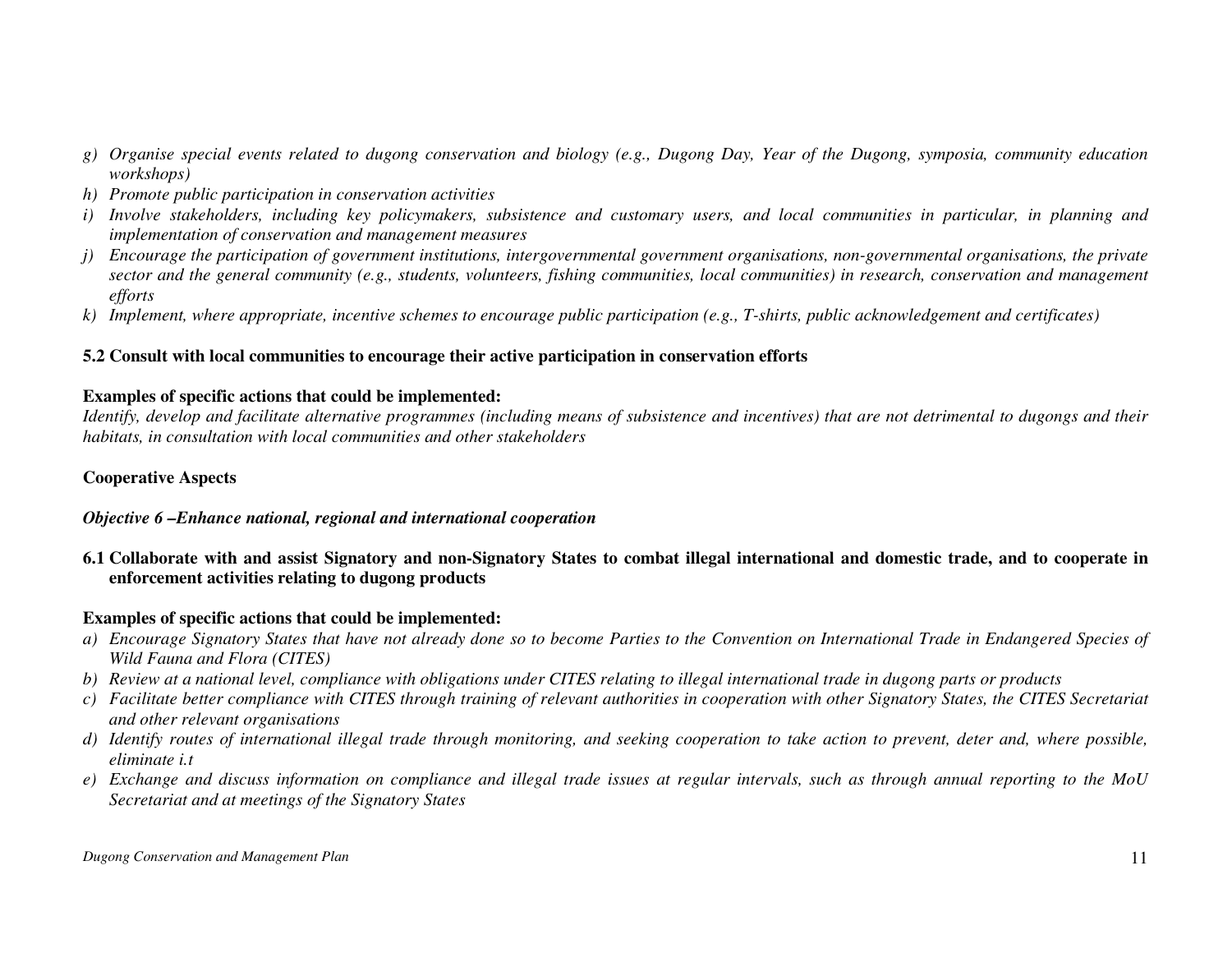- *g) Organise special events related to dugong conservation and biology (e.g., Dugong Day, Year of the Dugong, symposia, community education workshops)*
- *h) Promote public participation in conservation activities*
- *i) Involve stakeholders, including key policymakers, subsistence and customary users, and local communities in particular, in planning and implementation of conservation and management measures*
- *j*) Encourage the participation of government institutions, intergovernmental government organisations, non-governmental organisations, the private *sector and the general community (e.g., students, volunteers, fishing communities, local communities) in research, conservation and management efforts*
- *k) Implement, where appropriate, incentive schemes to encourage public participation (e.g., T-shirts, public acknowledgement and certificates)*

### **5.2 Consult with local communities to encourage their active participation in conservation efforts**

#### **Examples of specific actions that could be implemented:**

 *Identify, develop and facilitate alternative programmes (including means of subsistence and incentives) that are not detrimental to dugongs and their habitats, in consultation with local communities and other stakeholders* 

# **Cooperative Aspects**

## *Objective 6 –Enhance national, regional and international cooperation*

**6.1 Collaborate with and assist Signatory and non-Signatory States to combat illegal international and domestic trade, and to cooperate in enforcement activities relating to dugong products** 

- *a) Encourage Signatory States that have not already done so to become Parties to the Convention on International Trade in Endangered Species of Wild Fauna and Flora (CITES)*
- *b) Review at a national level, compliance with obligations under CITES relating to illegal international trade in dugong parts or products*
- *c) Facilitate better compliance with CITES through training of relevant authorities in cooperation with other Signatory States, the CITES Secretariat and other relevant organisations*
- *d) Identify routes of international illegal trade through monitoring, and seeking cooperation to take action to prevent, deter and, where possible, eliminate i.t*
- *e) Exchange and discuss information on compliance and illegal trade issues at regular intervals, such as through annual reporting to the MoU Secretariat and at meetings of the Signatory States*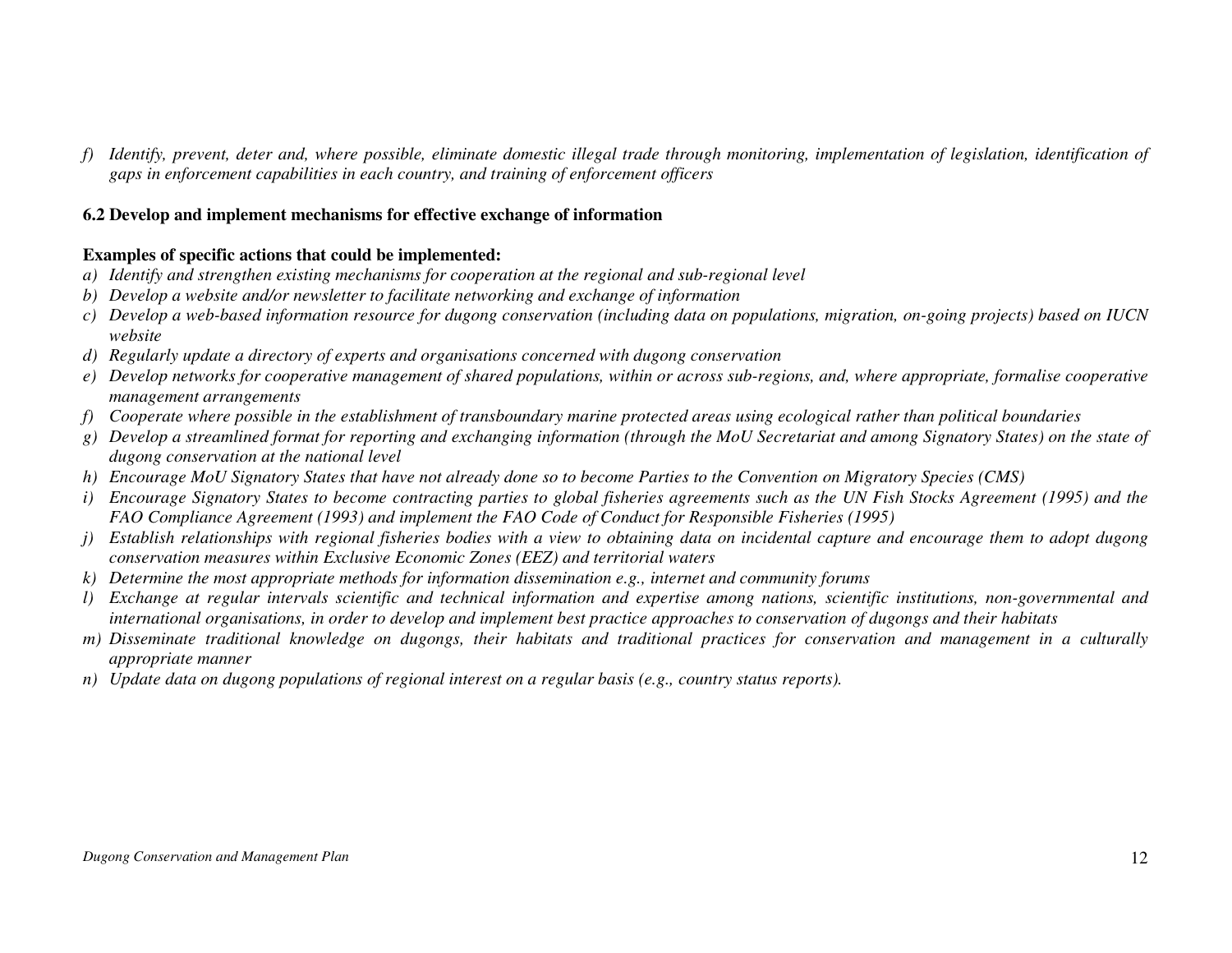*f) Identify, prevent, deter and, where possible, eliminate domestic illegal trade through monitoring, implementation of legislation, identification of gaps in enforcement capabilities in each country, and training of enforcement officers*

### **6.2 Develop and implement mechanisms for effective exchange of information**

- *a) Identify and strengthen existing mechanisms for cooperation at the regional and sub-regional level*
- *b) Develop a website and/or newsletter to facilitate networking and exchange of information*
- *c) Develop a web-based information resource for dugong conservation (including data on populations, migration, on-going projects) based on IUCN website*
- *d) Regularly update a directory of experts and organisations concerned with dugong conservation*
- *e) Develop networks for cooperative management of shared populations, within or across sub-regions, and, where appropriate, formalise cooperative management arrangements*
- *f) Cooperate where possible in the establishment of transboundary marine protected areas using ecological rather than political boundaries*
- *g) Develop a streamlined format for reporting and exchanging information (through the MoU Secretariat and among Signatory States) on the state of dugong conservation at the national level*
- *h) Encourage MoU Signatory States that have not already done so to become Parties to the Convention on Migratory Species (CMS)*
- *i) Encourage Signatory States to become contracting parties to global fisheries agreements such as the UN Fish Stocks Agreement (1995) and the FAO Compliance Agreement (1993) and implement the FAO Code of Conduct for Responsible Fisheries (1995)*
- *j) Establish relationships with regional fisheries bodies with a view to obtaining data on incidental capture and encourage them to adopt dugong conservation measures within Exclusive Economic Zones (EEZ) and territorial waters*
- *k) Determine the most appropriate methods for information dissemination e.g., internet and community forums*
- *l) Exchange at regular intervals scientific and technical information and expertise among nations, scientific institutions, non-governmental and international organisations, in order to develop and implement best practice approaches to conservation of dugongs and their habitats*
- *m) Disseminate traditional knowledge on dugongs, their habitats and traditional practices for conservation and management in a culturally appropriate manner*
- *n) Update data on dugong populations of regional interest on a regular basis (e.g., country status reports).*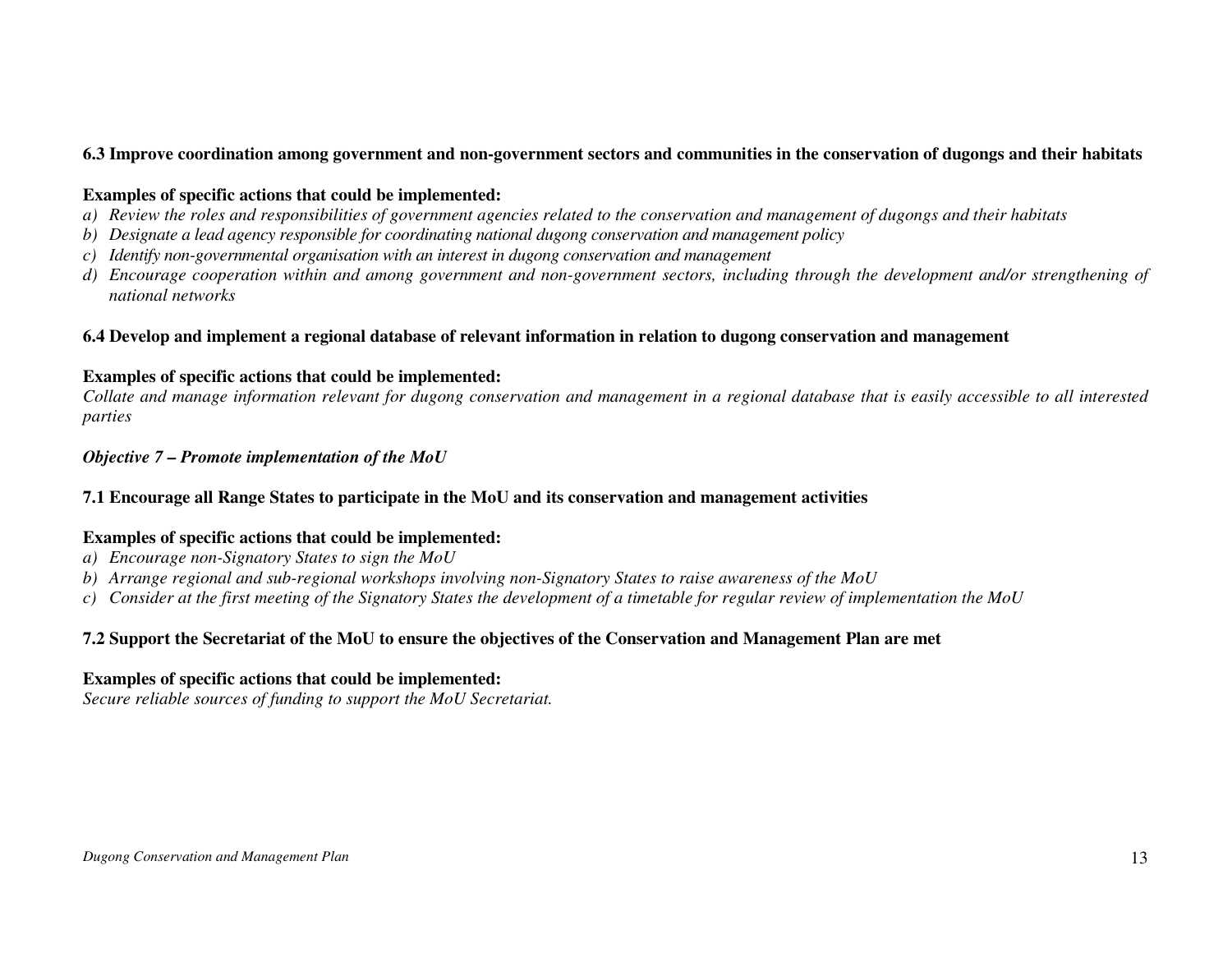### **6.3 Improve coordination among government and non-government sectors and communities in the conservation of dugongs and their habitats**

#### **Examples of specific actions that could be implemented:**

- *a) Review the roles and responsibilities of government agencies related to the conservation and management of dugongs and their habitats*
- *b) Designate a lead agency responsible for coordinating national dugong conservation and management policy*
- *c) Identify non-governmental organisation with an interest in dugong conservation and management*
- *d) Encourage cooperation within and among government and non-government sectors, including through the development and/or strengthening of national networks*

### **6.4 Develop and implement a regional database of relevant information in relation to dugong conservation and management**

#### **Examples of specific actions that could be implemented:**

 *Collate and manage information relevant for dugong conservation and management in a regional database that is easily accessible to all interested parties* 

## *Objective 7 – Promote implementation of the MoU*

## **7.1 Encourage all Range States to participate in the MoU and its conservation and management activities**

## **Examples of specific actions that could be implemented:**

- *a) Encourage non-Signatory States to sign the MoU*
- *b) Arrange regional and sub-regional workshops involving non-Signatory States to raise awareness of the MoU*
- *c) Consider at the first meeting of the Signatory States the development of a timetable for regular review of implementation the MoU*

# **7.2 Support the Secretariat of the MoU to ensure the objectives of the Conservation and Management Plan are met**

## **Examples of specific actions that could be implemented:**

*Secure reliable sources of funding to support the MoU Secretariat.*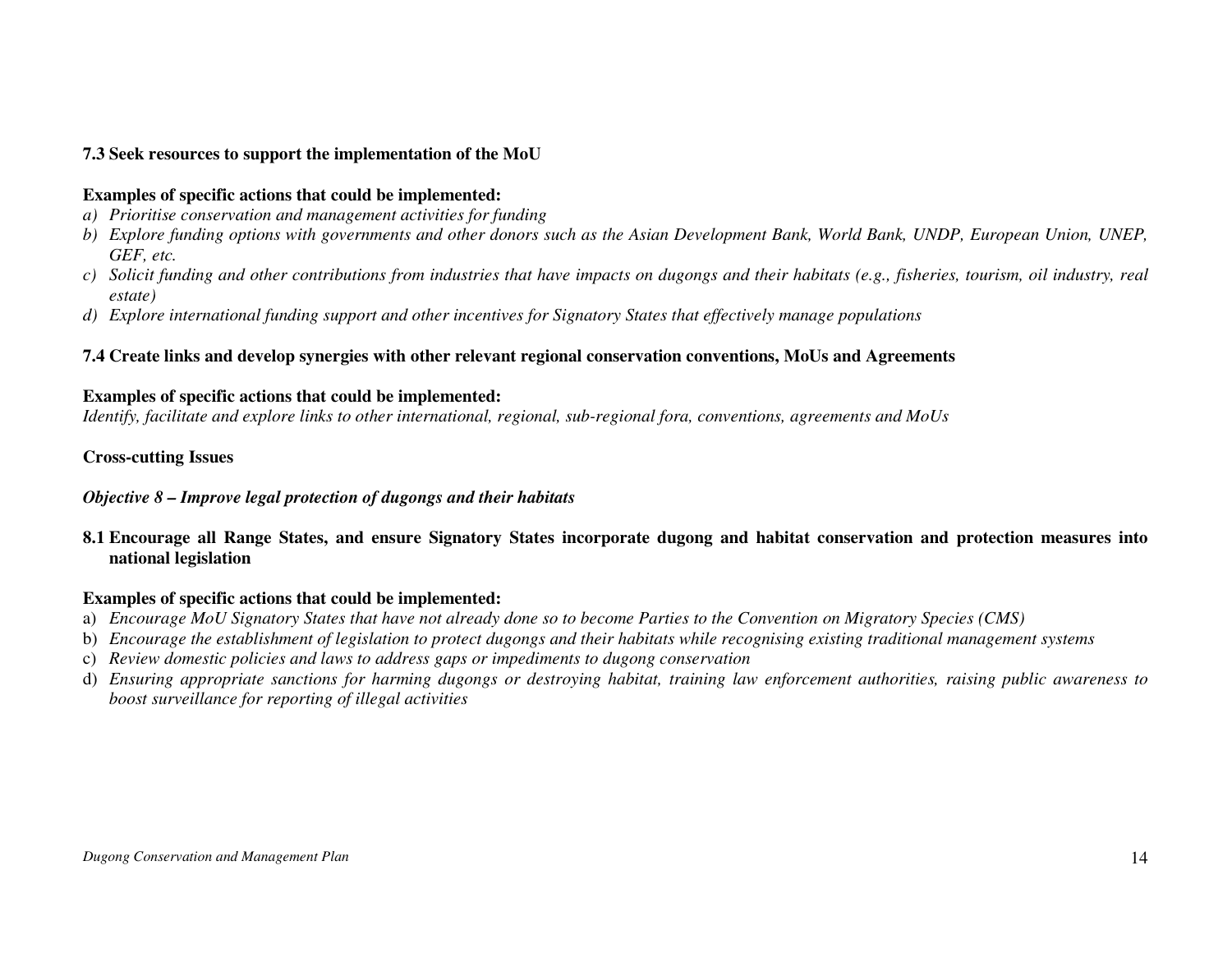# **7.3 Seek resources to support the implementation of the MoU**

#### **Examples of specific actions that could be implemented:**

- *a) Prioritise conservation and management activities for funding*
- *b) Explore funding options with governments and other donors such as the Asian Development Bank, World Bank, UNDP, European Union, UNEP, GEF, etc.*
- *c) Solicit funding and other contributions from industries that have impacts on dugongs and their habitats (e.g., fisheries, tourism, oil industry, real estate)*
- *d) Explore international funding support and other incentives for Signatory States that effectively manage populations*

# **7.4 Create links and develop synergies with other relevant regional conservation conventions, MoUs and Agreements**

#### **Examples of specific actions that could be implemented:**

*Identify, facilitate and explore links to other international, regional, sub-regional fora, conventions, agreements and MoUs* 

#### **Cross-cutting Issues**

#### *Objective 8 – Improve legal protection of dugongs and their habitats*

**8.1 Encourage all Range States, and ensure Signatory States incorporate dugong and habitat conservation and protection measures into national legislation** 

- a) *Encourage MoU Signatory States that have not already done so to become Parties to the Convention on Migratory Species (CMS)*
- b) *Encourage the establishment of legislation to protect dugongs and their habitats while recognising existing traditional management systems*
- c) *Review domestic policies and laws to address gaps or impediments to dugong conservation*
- d) *Ensuring appropriate sanctions for harming dugongs or destroying habitat, training law enforcement authorities, raising public awareness to boost surveillance for reporting of illegal activities*